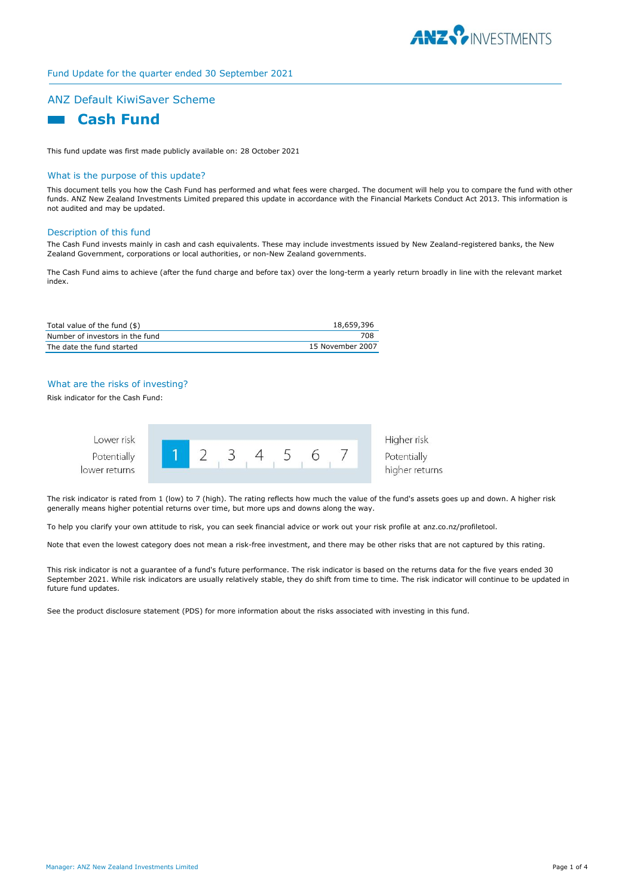

# Fund Update for the quarter ended 30 September 2021

## ANZ Default KiwiSaver Scheme



This fund update was first made publicly available on: 28 October 2021

#### What is the purpose of this update?

This document tells you how the Cash Fund has performed and what fees were charged. The document will help you to compare the fund with other funds. ANZ New Zealand Investments Limited prepared this update in accordance with the Financial Markets Conduct Act 2013. This information is not audited and may be updated.

#### Description of this fund

The Cash Fund invests mainly in cash and cash equivalents. These may include investments issued by New Zealand-registered banks, the New Zealand Government, corporations or local authorities, or non-New Zealand governments.

The Cash Fund aims to achieve (after the fund charge and before tax) over the long-term a yearly return broadly in line with the relevant market index.

| Total value of the fund (\$)    | 18,659,396       |
|---------------------------------|------------------|
| Number of investors in the fund | 708              |
| The date the fund started       | 15 November 2007 |

## What are the risks of investing?

Risk indicator for the Cash Fund:



The risk indicator is rated from 1 (low) to 7 (high). The rating reflects how much the value of the fund's assets goes up and down. A higher risk generally means higher potential returns over time, but more ups and downs along the way.

To help you clarify your own attitude to risk, you can seek financial advice or work out your risk profile at anz.co.nz/profiletool.

Note that even the lowest category does not mean a risk-free investment, and there may be other risks that are not captured by this rating.

This risk indicator is not a guarantee of a fund's future performance. The risk indicator is based on the returns data for the five years ended 30 September 2021. While risk indicators are usually relatively stable, they do shift from time to time. The risk indicator will continue to be updated in future fund updates.

See the product disclosure statement (PDS) for more information about the risks associated with investing in this fund.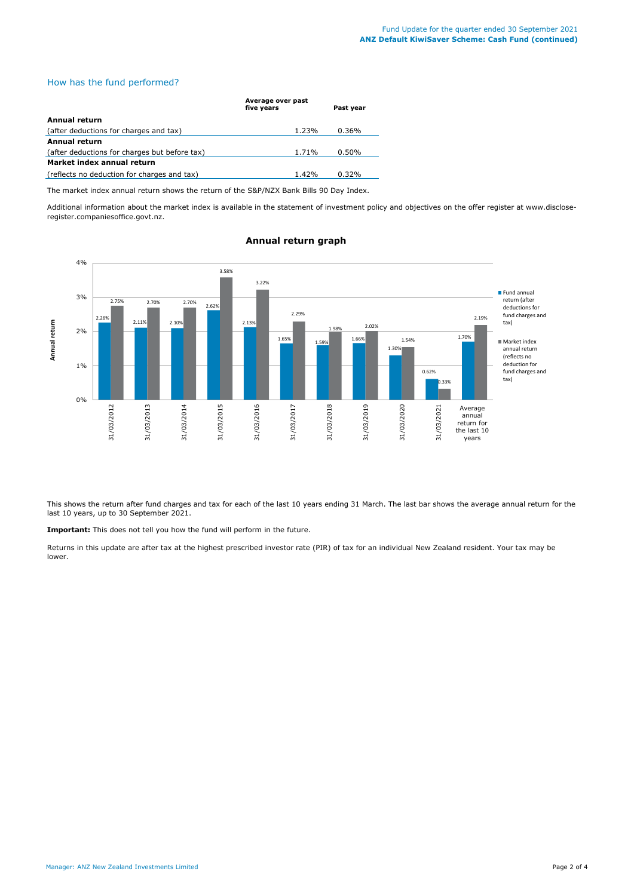# How has the fund performed?

|                                               | Average over past<br>five years | Past year |
|-----------------------------------------------|---------------------------------|-----------|
| Annual return                                 |                                 |           |
| (after deductions for charges and tax)        | 1.23%                           | 0.36%     |
| Annual return                                 |                                 |           |
| (after deductions for charges but before tax) | 1.71%                           | $0.50\%$  |
| Market index annual return                    |                                 |           |
| (reflects no deduction for charges and tax)   | 1.42%                           | 0.32%     |

The market index annual return shows the return of the S&P/NZX Bank Bills 90 Day Index.

Additional information about the market index is available in the statement of investment policy and objectives on the offer register at www.discloseregister.companiesoffice.govt.nz.



## **Annual return graph**

This shows the return after fund charges and tax for each of the last 10 years ending 31 March. The last bar shows the average annual return for the last 10 years, up to 30 September 2021.

**Important:** This does not tell you how the fund will perform in the future.

Returns in this update are after tax at the highest prescribed investor rate (PIR) of tax for an individual New Zealand resident. Your tax may be lower.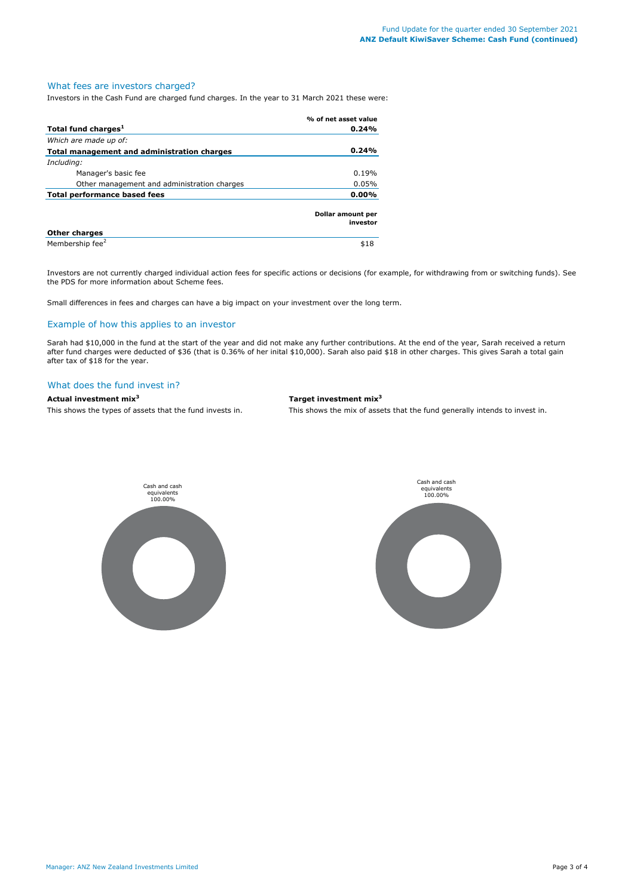### What fees are investors charged?

Investors in the Cash Fund are charged fund charges. In the year to 31 March 2021 these were:

|                                             | % of net asset value                 |
|---------------------------------------------|--------------------------------------|
| Total fund charges <sup>1</sup>             | 0.24%                                |
| Which are made up of:                       |                                      |
| Total management and administration charges | 0.24%                                |
| Including:                                  |                                      |
| Manager's basic fee                         | 0.19%                                |
| Other management and administration charges | 0.05%                                |
| Total performance based fees                |                                      |
|                                             | <b>Dollar amount per</b><br>investor |
| <b>Other charges</b>                        |                                      |
| Membership fee <sup>2</sup>                 | \$18                                 |

Investors are not currently charged individual action fees for specific actions or decisions (for example, for withdrawing from or switching funds). See the PDS for more information about Scheme fees.

Small differences in fees and charges can have a big impact on your investment over the long term.

## Example of how this applies to an investor

Sarah had \$10,000 in the fund at the start of the year and did not make any further contributions. At the end of the year, Sarah received a return after fund charges were deducted of \$36 (that is 0.36% of her inital \$10,000). Sarah also paid \$18 in other charges. This gives Sarah a total gain after tax of \$18 for the year.

#### What does the fund invest in?

#### **Actual investment mix<sup>3</sup> Target investment mix<sup>3</sup>**

This shows the types of assets that the fund invests in. This shows the mix of assets that the fund generally intends to invest in.